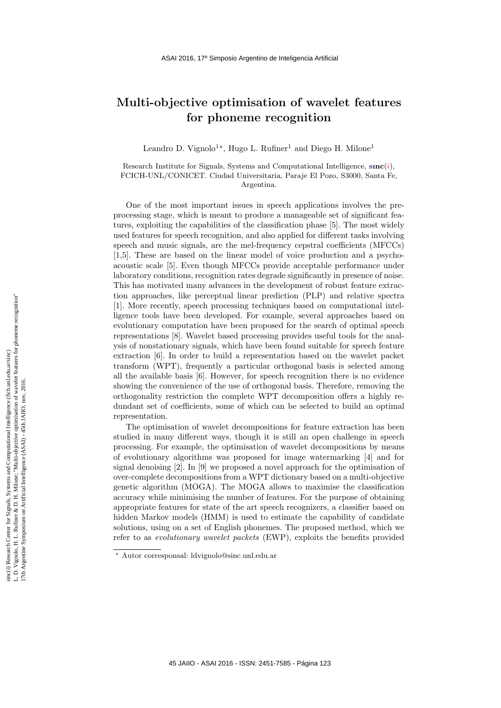## Multi-objective optimisation of wavelet features for phoneme recognition

Leandro D. Vignolo<sup>1\*</sup>, Hugo L. Rufiner<sup>1</sup> and Diego H. Milone<sup>1</sup>

Research Institute for Signals, Systems and Computational Intelligence,  $sinc(i)$ , FCICH-UNL/CONICET. Ciudad Universitaria, Paraje El Pozo, S3000, Santa Fe, Argentina.

One of the most important issues in speech applications involves the preprocessing stage, which is meant to produce a manageable set of significant features, exploiting the capabilities of the classification phase [5]. The most widely used features for speech recognition, and also applied for different tasks involving speech and music signals, are the mel-frequency cepstral coefficients (MFCCs) [1,5]. These are based on the linear model of voice production and a psychoacoustic scale [5]. Even though MFCCs provide acceptable performance under laboratory conditions, recognition rates degrade significantly in presence of noise. This has motivated many advances in the development of robust feature extraction approaches, like perceptual linear prediction (PLP) and relative spectra [1]. More recently, speech processing techniques based on computational intelligence tools have been developed. For example, several approaches based on evolutionary computation have been proposed for the search of optimal speech representations [8]. Wavelet based processing provides useful tools for the analysis of nonstationary signals, which have been found suitable for speech feature extraction [6]. In order to build a representation based on the wavelet packet transform (WPT), frequently a particular orthogonal basis is selected among all the available basis [6]. However, for speech recognition there is no evidence showing the convenience of the use of orthogonal basis. Therefore, removing the orthogonality restriction the complete WPT decomposition offers a highly redundant set of coefficients, some of which can be selected to build an optimal representation.

The optimisation of wavelet decompositions for feature extraction has been studied in many different ways, though it is still an open challenge in speech processing. For example, the optimisation of wavelet decompositions by means of evolutionary algorithms was proposed for image watermarking [4] and for signal denoising [2]. In [9] we proposed a novel approach for the optimisation of over-complete decompositions from a WPT dictionary based on a multi-objective genetic algorithm (MOGA). The MOGA allows to maximise the classification accuracy while minimising the number of features. For the purpose of obtaining appropriate features for state of the art speech recognizers, a classifier based on hidden Markov models (HMM) is used to estimate the capability of candidate solutions, using on a set of English phonemes. The proposed method, which we refer to as evolutionary wavelet packets (EWP), exploits the benefits provided

<sup>?</sup> Autor corresponsal: ldvignolo@sinc.unl.edu.ar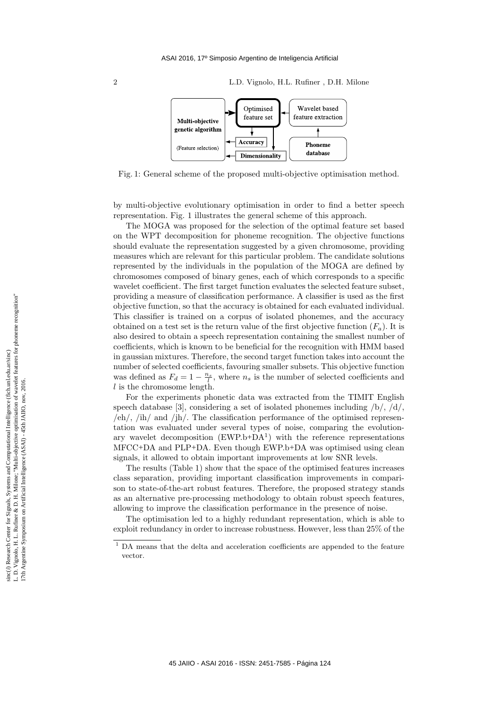2 L.D. Vignolo, H.L. Rufiner , D.H. Milone



Fig. 1: General scheme of the proposed multi-objective optimisation method.

by multi-objective evolutionary optimisation in order to find a better speech representation. Fig. 1 illustrates the general scheme of this approach.

The MOGA was proposed for the selection of the optimal feature set based on the WPT decomposition for phoneme recognition. The objective functions should evaluate the representation suggested by a given chromosome, providing measures which are relevant for this particular problem. The candidate solutions represented by the individuals in the population of the MOGA are defined by chromosomes composed of binary genes, each of which corresponds to a specific wavelet coefficient. The first target function evaluates the selected feature subset, providing a measure of classification performance. A classifier is used as the first objective function, so that the accuracy is obtained for each evaluated individual. This classifier is trained on a corpus of isolated phonemes, and the accuracy obtained on a test set is the return value of the first objective function  $(F_a)$ . It is also desired to obtain a speech representation containing the smallest number of coefficients, which is known to be beneficial for the recognition with HMM based in gaussian mixtures. Therefore, the second target function takes into account the number of selected coefficients, favouring smaller subsets. This objective function was defined as  $F_d = 1 - \frac{n_s}{l}$ , where  $n_s$  is the number of selected coefficients and l is the chromosome length.

For the experiments phonetic data was extracted from the TIMIT English speech database [3], considering a set of isolated phonemes including  $/b/$ ,  $/d/$ , /eh/, /ih/ and /jh/. The classification performance of the optimised representation was evaluated under several types of noise, comparing the evolutionary wavelet decomposition  $(EWP.b+DA<sup>1</sup>)$  with the reference representations MFCC+DA and PLP+DA. Even though EWP.b+DA was optimised using clean signals, it allowed to obtain important improvements at low SNR levels.

The results (Table 1) show that the space of the optimised features increases class separation, providing important classification improvements in comparison to state-of-the-art robust features. Therefore, the proposed strategy stands as an alternative pre-processing methodology to obtain robust speech features, allowing to improve the classification performance in the presence of noise.

The optimisation led to a highly redundant representation, which is able to exploit redundancy in order to increase robustness. However, less than 25% of the

 $^{\rm 1}$  DA means that the delta and acceleration coefficients are appended to the feature vector.